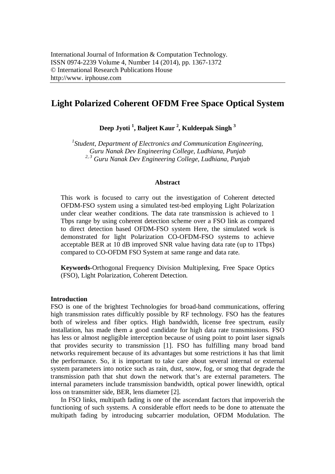# **Light Polarized Coherent OFDM Free Space Optical System**

**Deep Jyoti <sup>1</sup> , Baljeet Kaur <sup>2</sup> , Kuldeepak Singh <sup>3</sup>**

*1 Student, Department of Electronics and Communication Engineering, Guru Nanak Dev Engineering College, Ludhiana, Punjab 2, <sup>3</sup> Guru Nanak Dev Engineering College, Ludhiana, Punjab*

### **Abstract**

This work is focused to carry out the investigation of Coherent detected OFDM-FSO system using a simulated test-bed employing Light Polarization under clear weather conditions. The data rate transmission is achieved to 1 Tbps range by using coherent detection scheme over a FSO link as compared to direct detection based OFDM-FSO system Here, the simulated work is demonstrated for light Polarization CO-OFDM-FSO systems to achieve acceptable BER at 10 dB improved SNR value having data rate (up to 1Tbps) compared to CO-OFDM FSO System at same range and data rate.

**Keywords-**Orthogonal Frequency Division Multiplexing, Free Space Optics (FSO), Light Polarization, Coherent Detection.

#### **Introduction**

FSO is one of the brightest Technologies for broad-band communications, offering high transmission rates difficultly possible by RF technology. FSO has the features both of wireless and fiber optics. High bandwidth, license free spectrum, easily installation, has made them a good candidate for high data rate transmissions. FSO has less or almost negligible interception because of using point to point laser signals that provides security to transmission [1]. FSO has fulfilling many broad band networks requirement because of its advantages but some restrictions it has that limit the performance. So, it is important to take care about several internal or external system parameters into notice such as rain, dust, snow, fog, or smog that degrade the transmission path that shut down the network that's are external parameters. The internal parameters include transmission bandwidth, optical power linewidth, optical loss on transmitter side, BER, lens diameter [2].

In FSO links, multipath fading is one of the ascendant factors that impoverish the functioning of such systems. A considerable effort needs to be done to attenuate the multipath fading by introducing subcarrier modulation, OFDM Modulation. The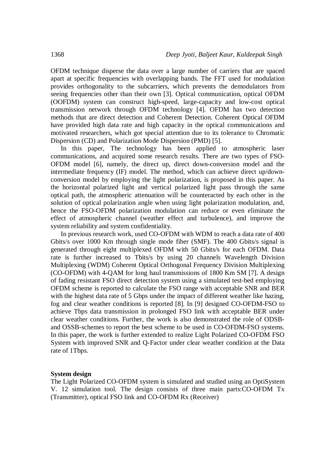OFDM technique disperse the data over a large number of carriers that are spaced apart at specific frequencies with overlapping bands. The FFT used for modulation provides orthogonality to the subcarriers, which prevents the demodulators from seeing frequencies other than their own [3]. Optical communication, optical OFDM (OOFDM) system can construct high-speed, large-capacity and low-cost optical transmission network through OFDM technology [4]. OFDM has two detection methods that are direct detection and Coherent Detection. Coherent Optical OFDM have provided high data rate and high capacity in the optical communications and motivated researchers, which got special attention due to its tolerance to Chromatic Dispersion (CD) and Polarization Mode Dispersion (PMD) [5].

In this paper, The technology has been applied to atmospheric laser communications, and acquired some research results. There are two types of FSO-OFDM model [6], namely, the direct up, direct down-conversion model and the intermediate frequency (IF) model. The method, which can achieve direct up/downconversion model by employing the light polarization, is proposed in this paper. As the horizontal polarized light and vertical polarized light pass through the same optical path, the atmospheric attenuation will be counteracted by each other in the solution of optical polarization angle when using light polarization modulation, and, hence the FSO-OFDM polarization modulation can reduce or even eliminate the effect of atmospheric channel (weather effect and turbulence), and improve the system reliability and system confidentiality.

In previous research work, used CO-OFDM with WDM to reach a data rate of 400 Gbits/s over 1000 Km through single mode fiber (SMF). The 400 Gbits/s signal is generated through eight multiplexed OFDM with 50 Gbits/s for each OFDM. Data rate is further increased to Tbits/s by using 20 channels Wavelength Division Multiplexing (WDM) Coherent Optical Orthogonal Frequency Division Multiplexing (CO-OFDM) with 4-QAM for long haul transmissions of 1800 Km SM [7]. A design of fading resistant FSO direct detection system using a simulated test-bed employing OFDM scheme is reported to calculate the FSO range with acceptable SNR and BER with the highest data rate of 5 Gbps under the impact of different weather like hazing, fog and clear weather conditions is reported [8]. In [9] designed CO-OFDM-FSO to achieve Tbps data transmission in prolonged FSO link with acceptable BER under clear weather conditions. Further, the work is also demonstrated the role of ODSBand OSSB-schemes to report the best scheme to be used in CO-OFDM-FSO systems. In this paper, the work is further extended to realize Light Polarized CO-OFDM FSO System with improved SNR and Q-Factor under clear weather condition at the Data rate of 1Tbps.

#### **System design**

The Light Polarized CO-OFDM system is simulated and studied using an OptiSystem V. 12 simulation tool. The design consists of three main parts:CO-OFDM Tx (Transmitter), optical FSO link and CO-OFDM Rx (Receiver)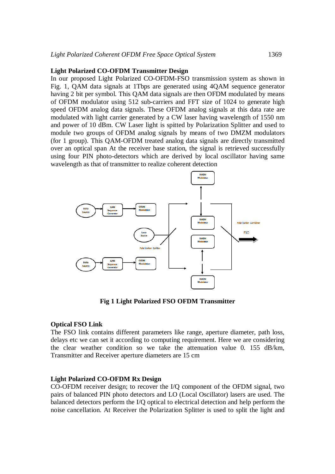### **Light Polarized CO-OFDM Transmitter Design**

In our proposed Light Polarized CO-OFDM-FSO transmission system as shown in Fig. 1, QAM data signals at 1Tbps are generated using 4QAM sequence generator having 2 bit per symbol. This QAM data signals are then OFDM modulated by means of OFDM modulator using 512 sub-carriers and FFT size of 1024 to generate high speed OFDM analog data signals. These OFDM analog signals at this data rate are modulated with light carrier generated by a CW laser having wavelength of 1550 nm and power of 10 dBm. CW Laser light is spitted by Polarization Splitter and used to module two groups of OFDM analog signals by means of two DMZM modulators (for 1 group). This QAM-OFDM treated analog data signals are directly transmitted over an optical span At the receiver base station, the signal is retrieved successfully using four PIN photo-detectors which are derived by local oscillator having same wavelength as that of transmitter to realize coherent detection



**Fig 1 Light Polarized FSO OFDM Transmitter**

# **Optical FSO Link**

The FSO link contains different parameters like range, aperture diameter, path loss, delays etc we can set it according to computing requirement. Here we are considering the clear weather condition so we take the attenuation value 0. 155 dB/km, Transmitter and Receiver aperture diameters are 15 cm

# **Light Polarized CO-OFDM Rx Design**

CO-OFDM receiver design; to recover the I/Q component of the OFDM signal, two pairs of balanced PIN photo detectors and LO (Local Oscillator) lasers are used. The balanced detectors perform the I/Q optical to electrical detection and help perform the noise cancellation. At Receiver the Polarization Splitter is used to split the light and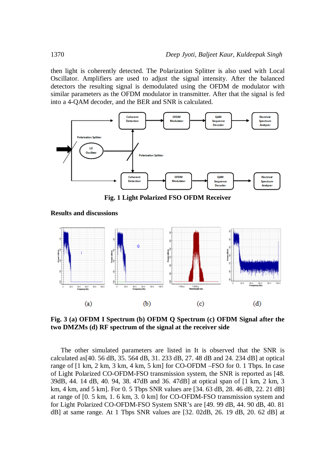then light is coherently detected. The Polarization Splitter is also used with Local Oscillator. Amplifiers are used to adjust the signal intensity. After the balanced detectors the resulting signal is demodulated using the OFDM de modulator with similar parameters as the OFDM modulator in transmitter. After that the signal is fed into a 4-QAM decoder, and the BER and SNR is calculated.



**Fig. 1 Light Polarized FSO OFDM Receiver**

**Results and discussions**



**Fig. 3 (a) OFDM I Spectrum (b) OFDM Q Spectrum (c) OFDM Signal after the two DMZMs (d) RF spectrum of the signal at the receiver side**

The other simulated parameters are listed in It is observed that the SNR is calculated as[40. 56 dB, 35. 564 dB, 31. 233 dB, 27. 48 dB and 24. 234 dB] at optical range of [1 km, 2 km, 3 km, 4 km, 5 km] for CO-OFDM –FSO for 0. 1 Tbps. In case of Light Polarized CO-OFDM-FSO transmission system, the SNR is reported as [48. 39dB, 44. 14 dB, 40. 94, 38. 47dB and 36. 47dB] at optical span of [1 km, 2 km, 3 km, 4 km, and 5 km]. For 0. 5 Tbps SNR values are [34. 63 dB, 28. 46 dB, 22. 21 dB] at range of [0. 5 km, 1. 6 km, 3. 0 km] for CO-OFDM-FSO transmission system and for Light Polarized CO-OFDM-FSO System SNR's are [49. 99 dB, 44. 90 dB, 40. 81 dB] at same range. At 1 Tbps SNR values are [32. 02dB, 26. 19 dB, 20. 62 dB] at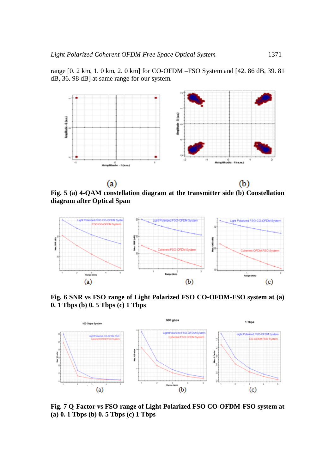



**Fig. 5 (a) 4-QAM constellation diagram at the transmitter side (b) Constellation diagram after Optical Span**



**Fig. 6 SNR vs FSO range of Light Polarized FSO CO-OFDM-FSO system at (a) 0. 1 Tbps (b) 0. 5 Tbps (c) 1 Tbps**



**Fig. 7 Q-Factor vs FSO range of Light Polarized FSO CO-OFDM-FSO system at (a) 0. 1 Tbps (b) 0. 5 Tbps (c) 1 Tbps**